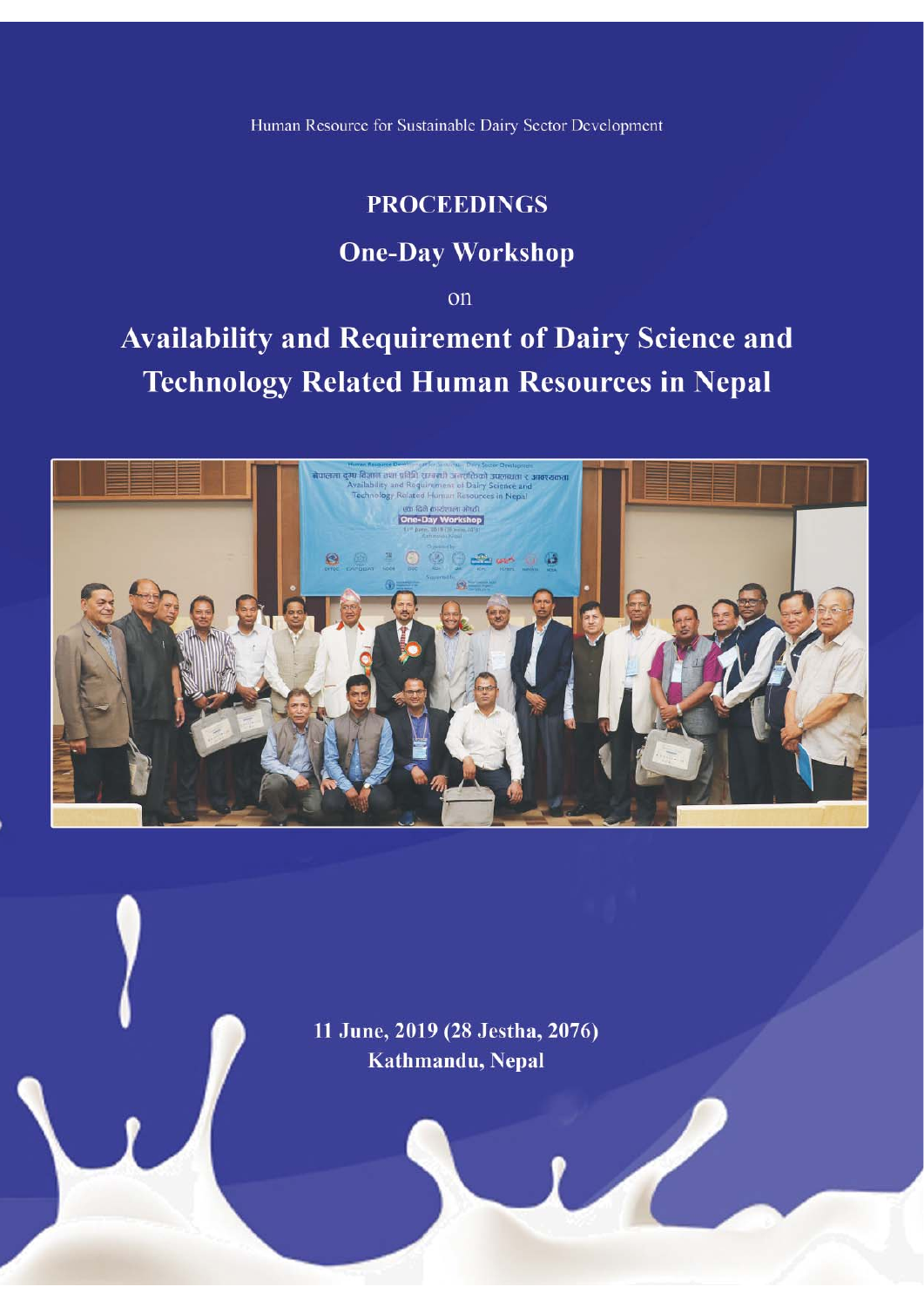Human Resource for Sustainable Dairy Sector Development

# **PROCEEDINGS**

# **One-Day Workshop**

on

**Availability and Requirement of Dairy Science and Technology Related Human Resources in Nepal** 



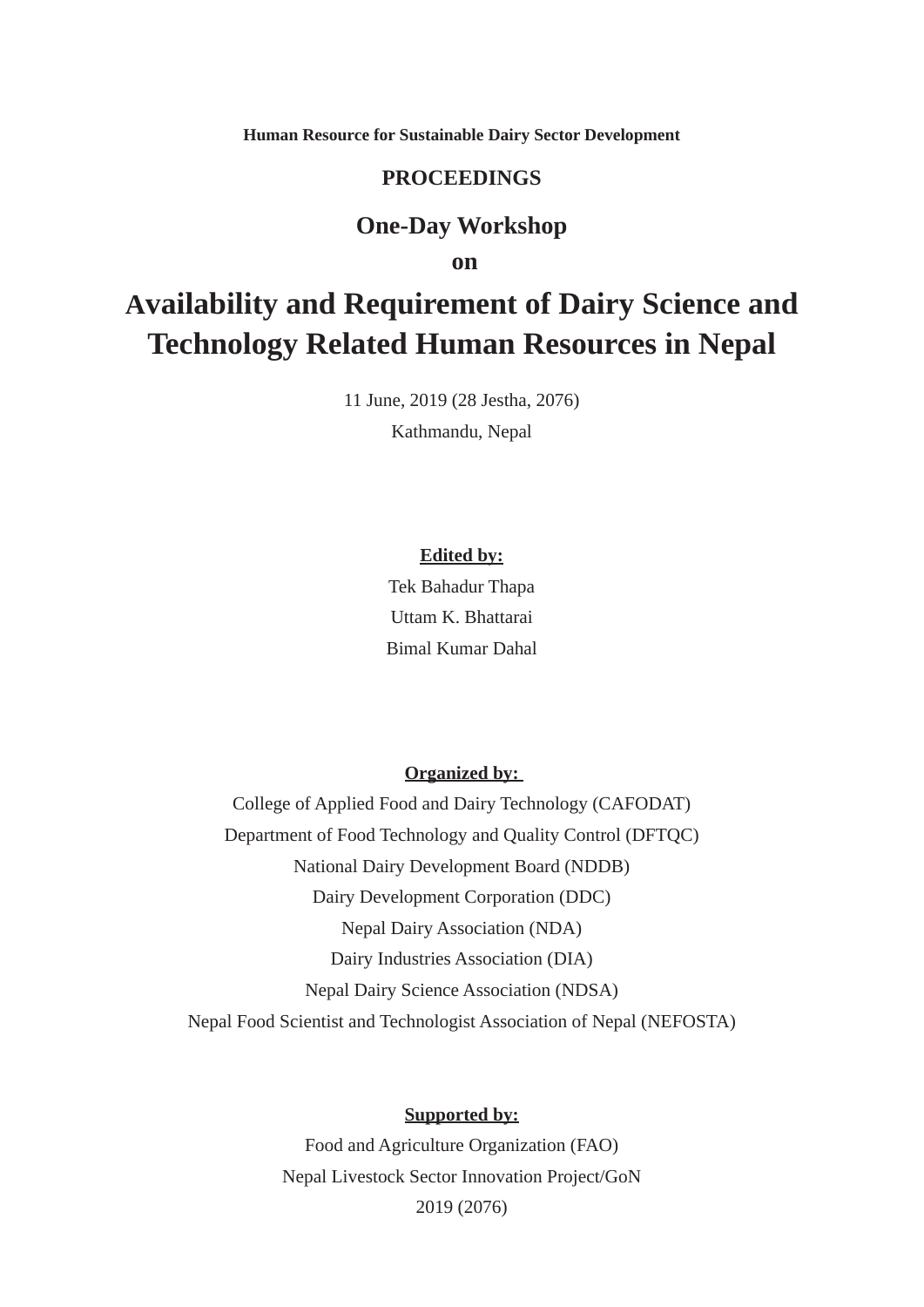**Human Resource for Sustainable Dairy Sector Development**

#### **PROCEEDINGS**

#### **One-Day Workshop**

 **on** 

# **Availability and Requirement of Dairy Science and Technology Related Human Resources in Nepal**

11 June, 2019 (28 Jestha, 2076)

Kathmandu, Nepal

#### **Edited by:**

Tek Bahadur Thapa Uttam K. Bhattarai Bimal Kumar Dahal

#### **Organized by:**

College of Applied Food and Dairy Technology (CAFODAT) Department of Food Technology and Quality Control (DFTQC) National Dairy Development Board (NDDB) Dairy Development Corporation (DDC) Nepal Dairy Association (NDA) Dairy Industries Association (DIA) Nepal Dairy Science Association (NDSA) Nepal Food Scientist and Technologist Association of Nepal (NEFOSTA)

#### **Supported by:**

Food and Agriculture Organization (FAO) Nepal Livestock Sector Innovation Project/GoN 2019 (2076)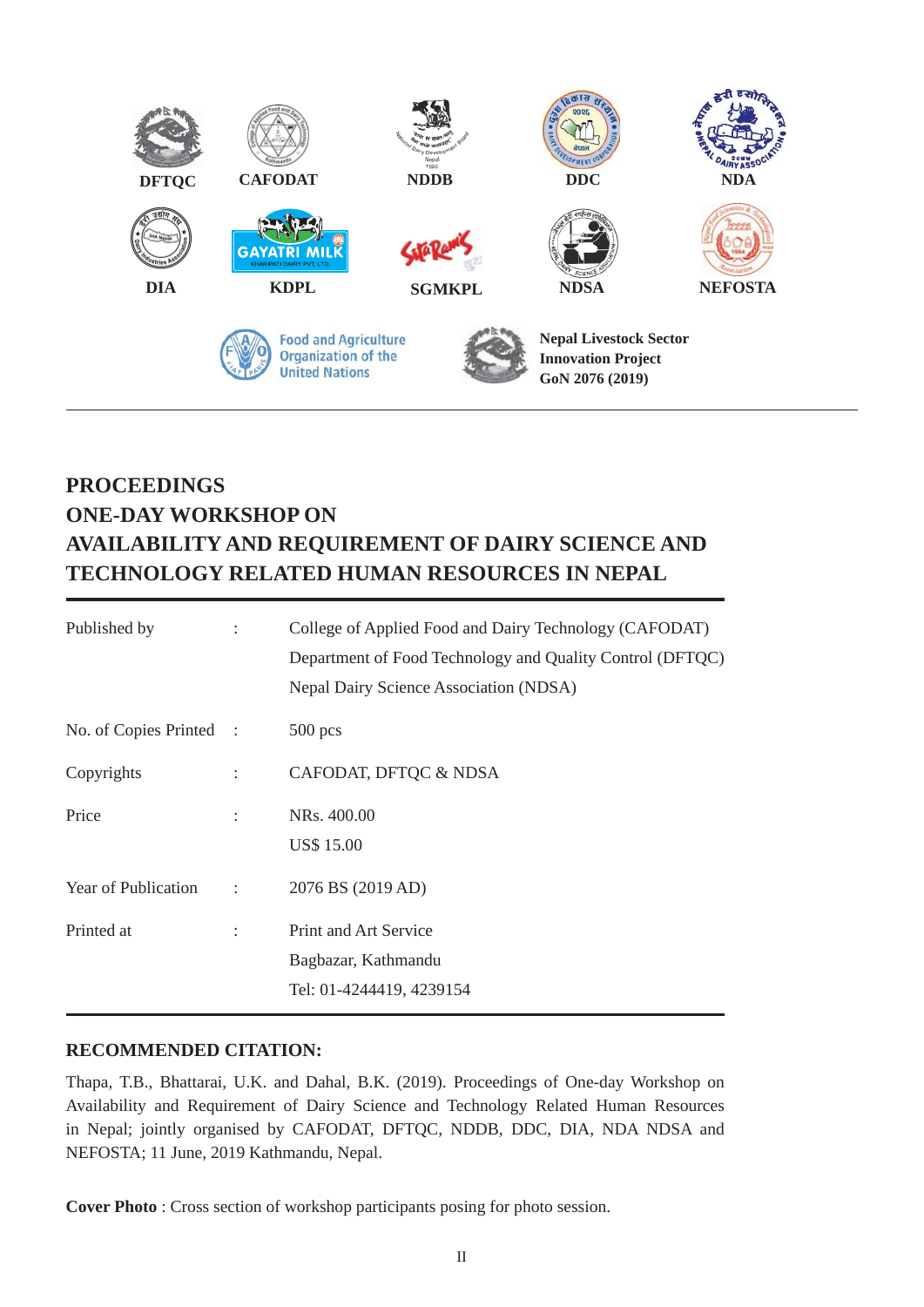

# **PROCEEDINGS ONE-DAY WORKSHOP ON AVAILABILITY AND REQUIREMENT OF DAIRY SCIENCE AND TECHNOLOGY RELATED HUMAN RESOURCES IN NEPAL**

| Published by            | $\ddot{\phantom{a}}$ | College of Applied Food and Dairy Technology (CAFODAT)<br>Department of Food Technology and Quality Control (DFTQC)<br>Nepal Dairy Science Association (NDSA) |
|-------------------------|----------------------|---------------------------------------------------------------------------------------------------------------------------------------------------------------|
| No. of Copies Printed : |                      | $500$ pcs                                                                                                                                                     |
| Copyrights              | $\ddot{\phantom{a}}$ | CAFODAT, DFTQC & NDSA                                                                                                                                         |
| Price                   | $\ddot{\phantom{a}}$ | NRs. 400.00<br><b>US\$ 15.00</b>                                                                                                                              |
| Year of Publication :   |                      | 2076 BS (2019 AD)                                                                                                                                             |
| Printed at              | $\ddot{\phantom{a}}$ | <b>Print and Art Service</b><br>Bagbazar, Kathmandu<br>Tel: 01-4244419, 4239154                                                                               |

#### **RECOMMENDED CITATION:**

Thapa, T.B., Bhattarai, U.K. and Dahal, B.K. (2019). Proceedings of One-day Workshop on Availability and Requirement of Dairy Science and Technology Related Human Resources in Nepal; jointly organised by CAFODAT, DFTQC, NDDB, DDC, DIA, NDA NDSA and NEFOSTA; 11 June, 2019 Kathmandu, Nepal.

**Cover Photo** : Cross section of workshop participants posing for photo session.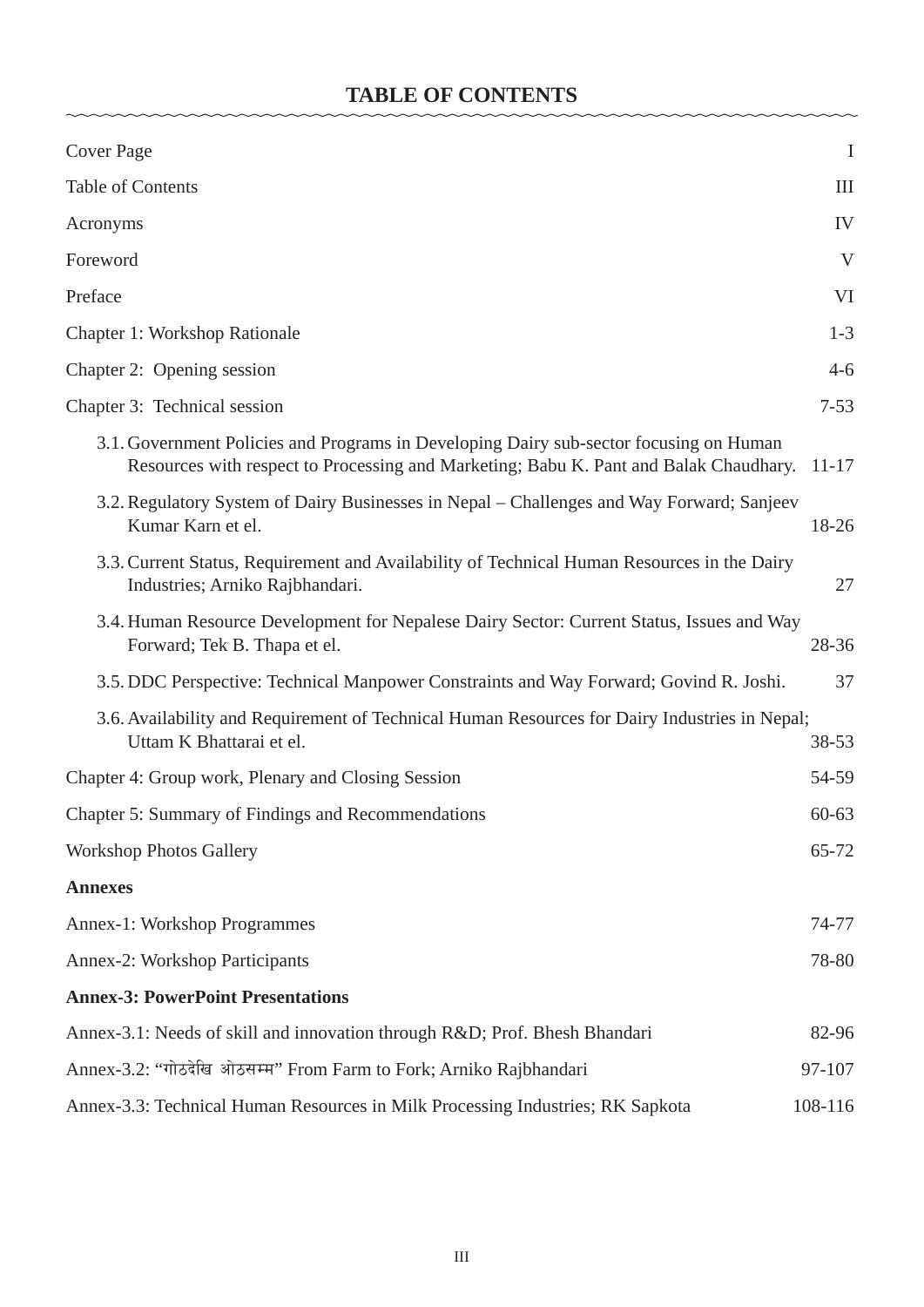## **TABLE OF CONTENTS**

 $\sim$ 

| <b>Cover Page</b>                                                                                                                                                               | $\rm I$   |  |
|---------------------------------------------------------------------------------------------------------------------------------------------------------------------------------|-----------|--|
| Table of Contents                                                                                                                                                               | III       |  |
| Acronyms                                                                                                                                                                        | IV        |  |
| Foreword                                                                                                                                                                        | V         |  |
| Preface                                                                                                                                                                         | VI        |  |
| <b>Chapter 1: Workshop Rationale</b>                                                                                                                                            | $1 - 3$   |  |
| Chapter 2: Opening session                                                                                                                                                      | $4 - 6$   |  |
| Chapter 3: Technical session                                                                                                                                                    | $7 - 53$  |  |
| 3.1. Government Policies and Programs in Developing Dairy sub-sector focusing on Human<br>Resources with respect to Processing and Marketing; Babu K. Pant and Balak Chaudhary. | $11 - 17$ |  |
| 3.2. Regulatory System of Dairy Businesses in Nepal – Challenges and Way Forward; Sanjeev<br>Kumar Karn et el.                                                                  | 18-26     |  |
| 3.3. Current Status, Requirement and Availability of Technical Human Resources in the Dairy<br>Industries; Arniko Rajbhandari.                                                  | 27        |  |
| 3.4. Human Resource Development for Nepalese Dairy Sector: Current Status, Issues and Way<br>Forward; Tek B. Thapa et el.                                                       | 28-36     |  |
| 3.5. DDC Perspective: Technical Manpower Constraints and Way Forward; Govind R. Joshi.                                                                                          | 37        |  |
| 3.6. Availability and Requirement of Technical Human Resources for Dairy Industries in Nepal;<br>Uttam K Bhattarai et el.                                                       |           |  |
| Chapter 4: Group work, Plenary and Closing Session                                                                                                                              |           |  |
| Chapter 5: Summary of Findings and Recommendations                                                                                                                              |           |  |
| <b>Workshop Photos Gallery</b>                                                                                                                                                  | 65-72     |  |
| <b>Annexes</b>                                                                                                                                                                  |           |  |
| <b>Annex-1: Workshop Programmes</b>                                                                                                                                             | 74-77     |  |
| Annex-2: Workshop Participants                                                                                                                                                  | 78-80     |  |
| <b>Annex-3: PowerPoint Presentations</b>                                                                                                                                        |           |  |
| Annex-3.1: Needs of skill and innovation through R&D Prof. Bhesh Bhandari                                                                                                       |           |  |
| Annex-3.2: "गोठदेखि ओठसम्म" From Farm to Fork; Arniko Rajbhandari                                                                                                               |           |  |
| Annex-3.3: Technical Human Resources in Milk Processing Industries; RK Sapkota<br>108-116                                                                                       |           |  |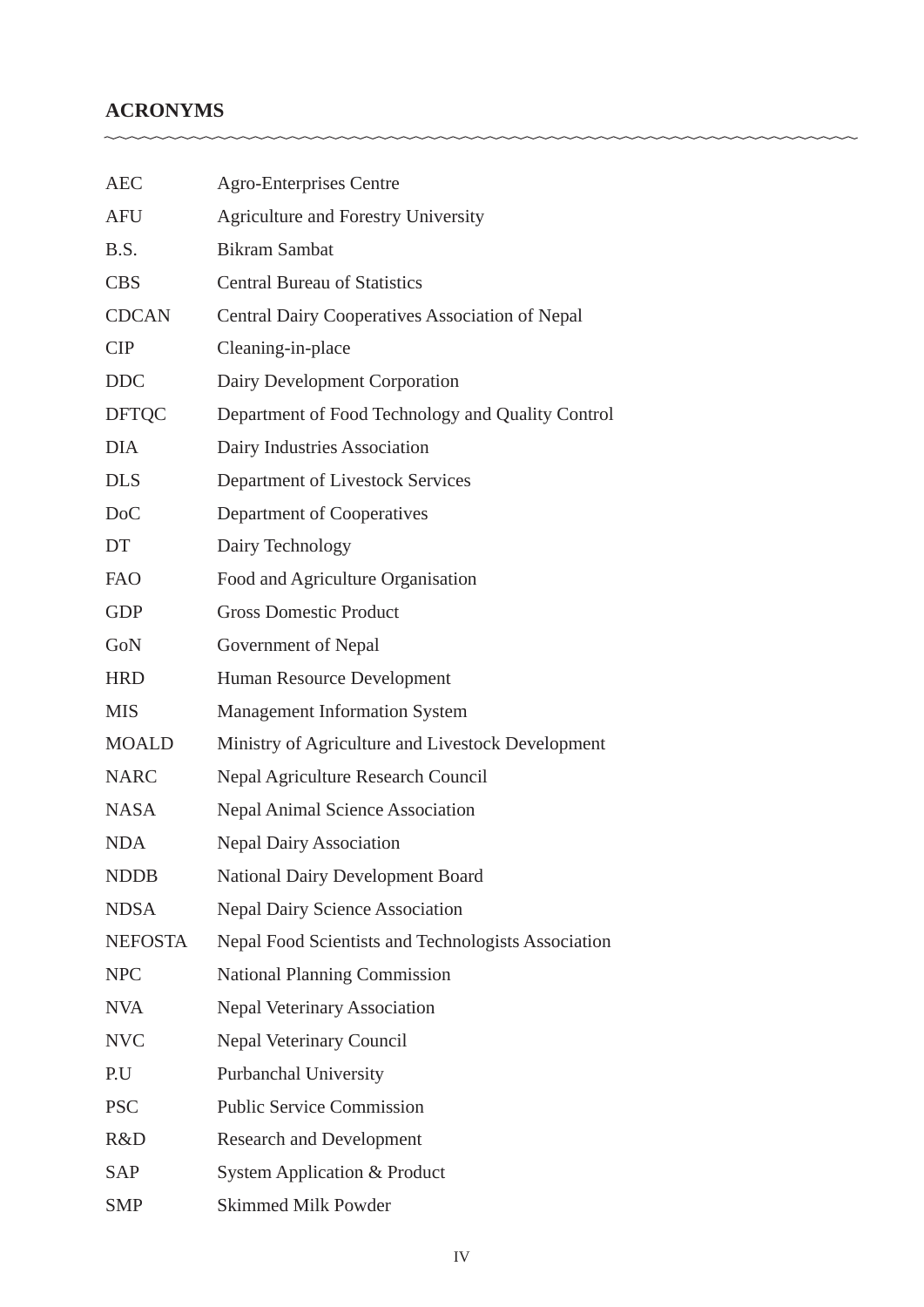## **ACRONYMS**

| <b>AEC</b>       | <b>Agro-Enterprises Centre</b>                         |
|------------------|--------------------------------------------------------|
| <b>AFU</b>       | Agriculture and Forestry University                    |
| B.S.             | <b>Bikram Sambat</b>                                   |
| <b>CBS</b>       | <b>Central Bureau of Statistics</b>                    |
| <b>CDCAN</b>     | <b>Central Dairy Cooperatives Association of Nepal</b> |
| <b>CIP</b>       | Cleaning-in-place                                      |
| <b>DDC</b>       | Dairy Development Corporation                          |
| <b>DFTQC</b>     | Department of Food Technology and Quality Control      |
| <b>DIA</b>       | Dairy Industries Association                           |
| <b>DLS</b>       | Department of Livestock Services                       |
| D <sub>o</sub> C | Department of Cooperatives                             |
| DT               | Dairy Technology                                       |
| <b>FAO</b>       | Food and Agriculture Organisation                      |
| <b>GDP</b>       | <b>Gross Domestic Product</b>                          |
| GoN              | Government of Nepal                                    |
| <b>HRD</b>       | Human Resource Development                             |
| <b>MIS</b>       | <b>Management Information System</b>                   |
| <b>MOALD</b>     | Ministry of Agriculture and Livestock Development      |
| <b>NARC</b>      | <b>Nepal Agriculture Research Council</b>              |
| <b>NASA</b>      | <b>Nepal Animal Science Association</b>                |
| <b>NDA</b>       | <b>Nepal Dairy Association</b>                         |
| <b>NDDB</b>      | <b>National Dairy Development Board</b>                |
| <b>NDSA</b>      | <b>Nepal Dairy Science Association</b>                 |
| <b>NEFOSTA</b>   | Nepal Food Scientists and Technologists Association    |
| <b>NPC</b>       | <b>National Planning Commission</b>                    |
| <b>NVA</b>       | Nepal Veterinary Association                           |
| <b>NVC</b>       | <b>Nepal Veterinary Council</b>                        |
| P.U              | Purbanchal University                                  |
| <b>PSC</b>       | <b>Public Service Commission</b>                       |
| R&D              | <b>Research and Development</b>                        |
| <b>SAP</b>       | System Application & Product                           |
| <b>SMP</b>       | <b>Skimmed Milk Powder</b>                             |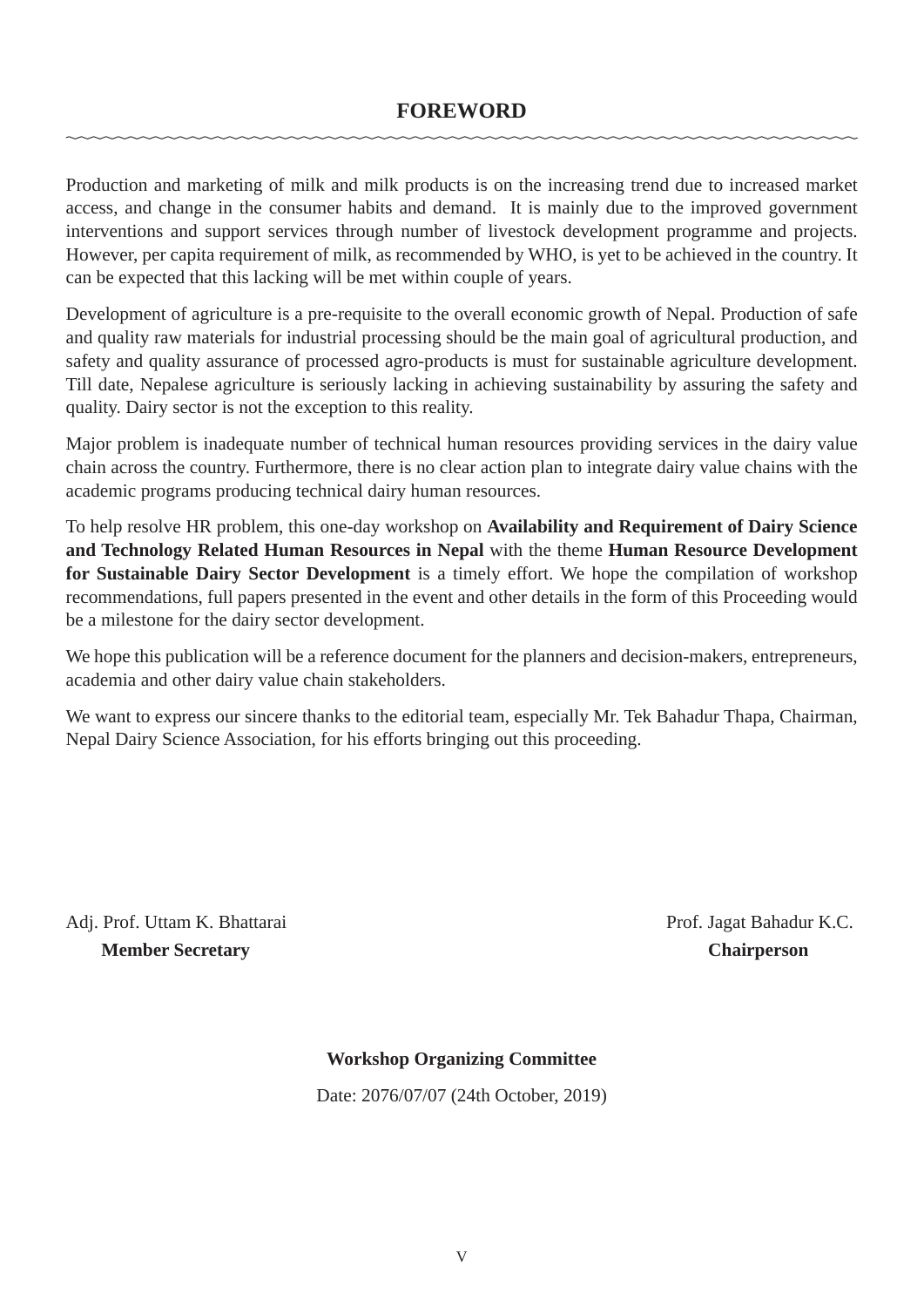Production and marketing of milk and milk products is on the increasing trend due to increased market access, and change in the consumer habits and demand. It is mainly due to the improved government interventions and support services through number of livestock development programme and projects. However, per capita requirement of milk, as recommended by WHO, is yet to be achieved in the country. It can be expected that this lacking will be met within couple of years.

Development of agriculture is a pre-requisite to the overall economic growth of Nepal. Production of safe and quality raw materials for industrial processing should be the main goal of agricultural production, and safety and quality assurance of processed agro-products is must for sustainable agriculture development. Till date, Nepalese agriculture is seriously lacking in achieving sustainability by assuring the safety and quality. Dairy sector is not the exception to this reality.

Major problem is inadequate number of technical human resources providing services in the dairy value chain across the country. Furthermore, there is no clear action plan to integrate dairy value chains with the academic programs producing technical dairy human resources.

To help resolve HR problem, this one-day workshop on **Availability and Requirement of Dairy Science and Technology Related Human Resources in Nepal** with the theme **Human Resource Development for Sustainable Dairy Sector Development** is a timely effort. We hope the compilation of workshop recommendations, full papers presented in the event and other details in the form of this Proceeding would be a milestone for the dairy sector development.

We hope this publication will be a reference document for the planners and decision-makers, entrepreneurs, academia and other dairy value chain stakeholders.

We want to express our sincere thanks to the editorial team, especially Mr. Tek Bahadur Thapa, Chairman, Nepal Dairy Science Association, for his efforts bringing out this proceeding.

Adj. Prof. Uttam K. Bhattarai Prof. Jagat Bahadur K.C.  **Member Secretary Chairperson**

### **Workshop Organizing Committee**

Date: 2076/07/07 (24th October, 2019)